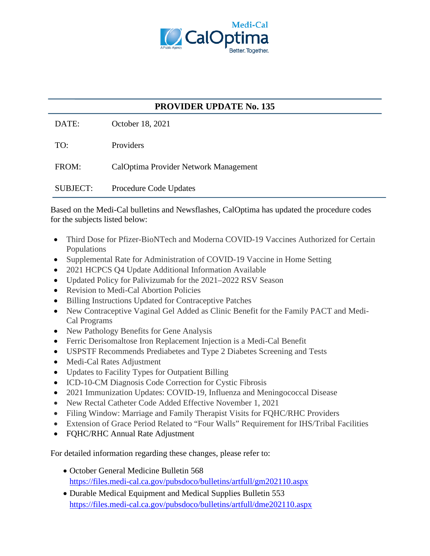

## **PROVIDER UPDATE No. 135**

DATE: October 18, 2021

TO: Providers

FROM: CalOptima Provider Network Management

SUBJECT: Procedure Code Updates

Based on the Medi-Cal bulletins and Newsflashes, CalOptima has updated the procedure codes for the subjects listed below:

- Third Dose for Pfizer-BioNTech and Moderna COVID-19 Vaccines Authorized for Certain Populations
- Supplemental Rate for Administration of COVID-19 Vaccine in Home Setting
- 2021 HCPCS Q4 Update Additional Information Available
- Updated Policy for Palivizumab for the 2021–2022 RSV Season
- Revision to Medi-Cal Abortion Policies
- Billing Instructions Updated for Contraceptive Patches
- New Contraceptive Vaginal Gel Added as Clinic Benefit for the Family PACT and Medi-Cal Programs
- New Pathology Benefits for Gene Analysis
- Ferric Derisomaltose Iron Replacement Injection is a Medi-Cal Benefit
- USPSTF Recommends Prediabetes and Type 2 Diabetes Screening and Tests
- Medi-Cal Rates Adjustment
- Updates to Facility Types for Outpatient Billing
- ICD-10-CM Diagnosis Code Correction for Cystic Fibrosis
- 2021 Immunization Updates: COVID-19, Influenza and Meningococcal Disease
- New Rectal Catheter Code Added Effective November 1, 2021
- Filing Window: Marriage and Family Therapist Visits for FQHC/RHC Providers
- Extension of Grace Period Related to "Four Walls" Requirement for IHS/Tribal Facilities
- FOHC/RHC Annual Rate Adjustment

For detailed information regarding these changes, please refer to:

- October General Medicine Bulletin 568 <https://files.medi-cal.ca.gov/pubsdoco/bulletins/artfull/gm202110.aspx>
- Durable Medical Equipment and Medical Supplies Bulletin 553 <https://files.medi-cal.ca.gov/pubsdoco/bulletins/artfull/dme202110.aspx>